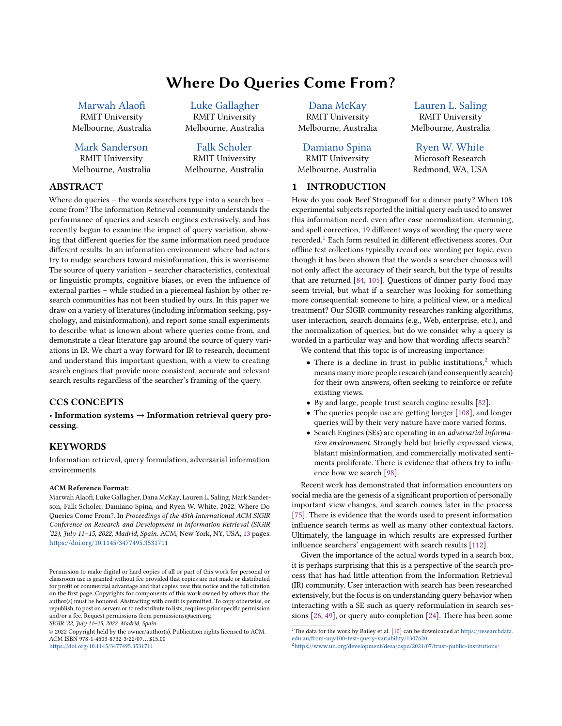# Where Do Queries Come From?

[Marwah Alaofi](https://orcid.org/0000-0002-0008-8650) RMIT University Melbourne, Australia

[Mark Sanderson](https://orcid.org/0000-0003-0487-9609) RMIT University Melbourne, Australia

[Luke Gallagher](https://orcid.org/0000-0002-3241-7615) RMIT University Melbourne, Australia

[Falk Scholer](https://orcid.org/0000-0001-9094-0810) RMIT University Melbourne, Australia

[Dana McKay](https://orcid.org/0000-0001-7522-1842) RMIT University Melbourne, Australia

[Damiano Spina](https://orcid.org/0000-0001-9913-433X) RMIT University Melbourne, Australia

# 1 INTRODUCTION

How do you cook Beef Stroganoff for a dinner party? When 108 experimental subjects reported the initial query each used to answer this information need, even after case normalization, stemming, and spell correction, 19 different ways of wording the query were recorded.1 Each form resulted in different effectiveness scores. Our offline test collections typically record one wording per topic, even though it has been shown that the words a searcher chooses will not only affect the accuracy of their search, but the type of results that are returned [84, 105]. Questions of dinner party food may seem trivial, but what if a searcher was looking for something more consequential: someone to hire, a political view, or a medical treatment? Our SIGIR community researches ranking algorithms, user interaction, search domains (e.g., Web, enterprise, etc.), and the normalization of queries, but do we consider why a query is

[Lauren L. Saling](https://orcid.org/0000-0003-0722-6232) RMIT University Melbourne, Australia

[Ryen W. White](https://orcid.org/0000-0002-0265-4249) Microsoft Research Redmond, WA, USA

worded in a particular way and how that wording affects search? We contend that this topic is of increasing importance:

- There is a decline in trust in public institutions,<sup>2</sup> which means many more people research (and consequently search) for their own answers, often seeking to reinforce or refute existing views.
- By and large, people trust search engine results [82].
- The queries people use are getting longer [108], and longer queries will by their very nature have more varied forms.
- Search Engines (SEs) are operating in an adversarial information environment. Strongly held but briefly expressed views, blatant misinformation, and commercially motivated sentiments proliferate. There is evidence that others try to influence how we search [98].

Recent work has demonstrated that information encounters on social media are the genesis of a significant proportion of personally important view changes, and search comes later in the process [75]. There is evidence that the words used to present information influence search terms as well as many other contextual factors. Ultimately, the language in which results are expressed further influence searchers' engagement with search results [112].

Given the importance of the actual words typed in a search box, it is perhaps surprising that this is a perspective of the search process that has had little attention from the Information Retrieval (IR) community. User interaction with search has been researched extensively, but the focus is on understanding query behavior when interacting with a SE such as query reformulation in search sessions [26, 49], or query auto-completion [24]. There has been some

ABSTRACT

Where do queries – the words searchers type into a search box – come from? The Information Retrieval community understands the performance of queries and search engines extensively, and has recently begun to examine the impact of query variation, showing that different queries for the same information need produce different results. In an information environment where bad actors try to nudge searchers toward misinformation, this is worrisome. The source of query variation – searcher characteristics, contextual or linguistic prompts, cognitive biases, or even the influence of external parties – while studied in a piecemeal fashion by other research communities has not been studied by ours. In this paper we draw on a variety of literatures (including information seeking, psychology, and misinformation), and report some small experiments to describe what is known about where queries come from, and demonstrate a clear literature gap around the source of query variations in IR. We chart a way forward for IR to research, document and understand this important question, with a view to creating search engines that provide more consistent, accurate and relevant search results regardless of the searcher's framing of the query.

## CCS CONCEPTS

• Information systems  $\rightarrow$  Information retrieval query processing.

### KEYWORDS

Information retrieval, query formulation, adversarial information environments

#### ACM Reference Format:

Marwah Alaofi, Luke Gallagher, Dana McKay, Lauren L. Saling, Mark Sanderson, Falk Scholer, Damiano Spina, and Ryen W. White. 2022. Where Do Queries Come From?. In Proceedings of the 45th International ACM SIGIR Conference on Research and Development in Information Retrieval (SIGIR '22), July 11–15, 2022, Madrid, Spain. ACM, New York, NY, USA, 13 pages. <https://doi.org/10.1145/3477495.3531711>

SIGIR '22, July 11–15, 2022, Madrid, Spain

© 2022 Copyright held by the owner/author(s). Publication rights licensed to ACM. ACM ISBN 978-1-4503-8732-3/22/07. . . \$15.00 <https://doi.org/10.1145/3477495.3531711>

 $\overline{1}$ The data for the work by Bailey et al. [10] can be downloaded at [https://researchdata.](https://researchdata.edu.au/from-uqv100-test-query-variability/1307620) [edu.au/from-uqv100-test-query-variability/1307620](https://researchdata.edu.au/from-uqv100-test-query-variability/1307620)

<sup>2</sup><https://www.un.org/development/desa/dspd/2021/07/trust-public-institutions/>

Permission to make digital or hard copies of all or part of this work for personal or classroom use is granted without fee provided that copies are not made or distributed for profit or commercial advantage and that copies bear this notice and the full citation on the first page. Copyrights for components of this work owned by others than the author(s) must be honored. Abstracting with credit is permitted. To copy otherwise, or republish, to post on servers or to redistribute to lists, requires prior specific permission and/or a fee. Request permissions from permissions@acm.org.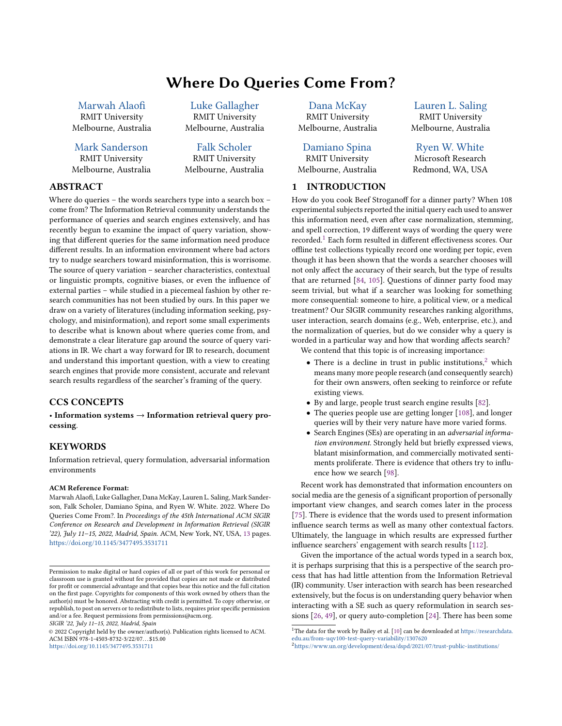work on query formation in Library and Information Science (LIS) [70, 96], much conceptual in nature. There is some empirical work asking participants to generate queries in response to a stated information need (e.g., [57]), the work is limited to artificial information needs, an approach that results in less user curiosity about the results and therefore likely changed behavior [54]. A handful of test collections were created that examine query variations [9, 23], but that research has focused on the impact of the variation on search results, rather than a query's origin. While such research has inspected particular factors affecting query formulation, there remains a gap in understanding connections across the informational, social, technical, and cognitive factors that affect query term selection. In short, a key question remains unanswered: where do queries come from?

In this perspectives paper, we first discuss why this question is important now, highlighting the rise of adversarial information environments, and an increased focus on equity in technology generally. We then examine the question from a variety of perspectives. We examine existing research on variability (Section 3) and demonstrate that – even for relatively simple needs and in homogeneous cohorts – there is high variability (Section 4). As a means of outlining the potential for work in this topic area, we examine variability from different perspectives to describe what is already known about query formation, and demonstrate that there is an important gap (Sections 5–7). Finally, we point to future research directions to address this gap (Section 8), and draw conclusions about the importance of this topic in Section 9.

#### 2 WHY NOW

Query variability has always been a feature of search, query formation has been discussed in the LIS literature, but there is a longstanding disjunct between LIS and IR [41]. So why has the ways in which queries are generated become important now? There are two reasons: the increasingly adversarial nature of the information environment in which we operate, and increased understanding of the impact of human diversity on technology use.

One major change to the information environment is the potential for adversarial actors, whether in a commercial or political space, to deliberately word documents, presentations, or social media postings to nudge searchers to use particular words or phrases in their query. It has been suggested that such actions could lead searchers to the website of particular organizations which may then disseminate information that is in the interest of that organization, particularly for niche topics, so-called 'data voids' [45]. Tripodi [98], inspired by a qualitative study of communities with a conservative Christian worldview, described the detailed research conducted by that community in order to determine the veracity of content encountered online. However, the way queries were constructed could be influenced by the particular wording of that very content. Tripodi showed queries where the switching of one word could alter retrieval results from emphasizing right-wing to left-wing content [98]. Searchers have long been known to trust Web search engine results [82]. A searcher unknowingly influenced to query for a particular view may not seek alternates. Given the potential for information encounters to engender view changes [75], and the sheer volume of misinformation online, search engines can and

must play a role in supporting searchers' quests for accurate information. To do this, though, we need to understand how searchers go from encountered information to search terms.

Another rationale for re-evaluating the importance of query generation is the new recognition of the importance of diverse voices in constructing IR systems and test collections. Much of the existing work on relevance has been done by field experts [86], who do not represent the diversity of searchers who actually use search systems. Sometimes this lack of diversity has resulted in negative representation of minority groups by search systems [79]. Beyond just representation, we know that when a group is not considered in design and testing, the resulting product will often not reflect their needs [66, 85]. This may mean that certain groups get search results that are less well suited to their needs, simply by virtue of the way they and their community search. Apart from the work detailed in Section 3, incorporating query variability in test collections is a priority that our community has largely ignored. As popular as test collections are, there remains a substantial gap in the predictions made by such offline datasets and the online realities of evaluation with a working system. While this is pure speculation on our part, it could be that the one reason for this disconnect between offline and online evaluation is the lack of query variability in test collections, partly because these test collections are based on a homogeneous sample of searchers. Understanding how different searchers construct queries could help make search engines more effective for those searchers.

Query variations give us a lens onto some of the factors that may be at play in query formulation: if we can tie query variations to people and information, we may understand how individual factors and background information affect what ultimately gets typed into a search box. In the next section, we address what is already known about query variability in IR.

## 3 QUERY VARIABILITY

It has been established that different searchers formulate different queries from the same underlying information need. This is referred to as query variability. The reasons for this variability remain an open question. Research to date has primarily been examined from the perspective of test collection creation, and analyses of retrieval experiments subsequently carried out using those collections.

#### 3.1 Test collections created for query variability

The effect of multiple query variations on system effectiveness analysis was first investigated in the TREC-8 Query Track [23], where five participating groups generated queries based on a set of fifty topic statements. The conclusion was that topics – and specific queries that deal with the same topic – lead to extreme variability in system effectiveness scores, in contrast to different retrieval systems which were only somewhat variable. However, the track was not pursued beyond its initial two years of running.

Bailey et al. [9] studied whether variation in query formulation alters retrieval effectiveness, creating a new collection based on 180 TREC topics from different tracks, chosen to represent different levels of search task complexity. The topic statements were re-written into backstories, which were shown to crowdsourced workers who were asked to report what their first search query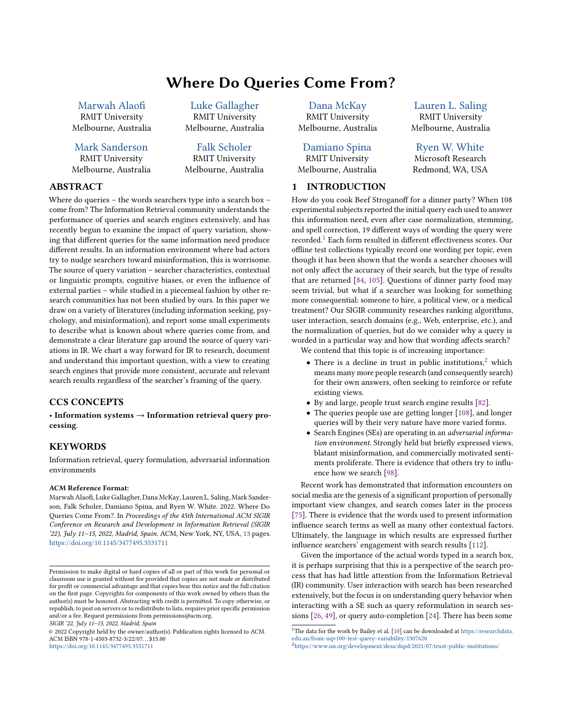would be. Analysis of system effectiveness demonstrated that the level of variation arising from different searcher query formulations was substantially higher than variation from differences in either search topics, or retrieval algorithms.

Moffat et al. [78] studied the impact of query variability on the completeness of relevance judgments. Test collections are typically constructed using pooling [101]. Introducing query variability potentially adds to the number of documents in the pool, since each participating system will generate candidate documents in response to multiple queries per topic. The analysis demonstrated that diversity in the documents that need to be judged that arises from query variability is at least as substantial as that arising from system variability, and critically, that previous test collections were problematic for the rigorous study of query variability, since running new variant queries for a topic would introduce many new unjudged documents into the evaluation process.

Consequently, the UQV-100 collection was developed [10]. Information need backstories were written for 100 topics from TREC Web tracks, which were shown to crowd workers. They were asked to indicate what query they would use, resulting in an average of 58 normalized queries per backstory. Corresponding relevance judgments were obtained for the top-10 (as a minimum) pooled documents for each query variation. The collection was used to study the consistency of search systems in the presence of query variations [11]. Further test collections have since been enhanced with user query variations: Benham et al. [18] created query variations for 250 topics used in the TREC Core 2017 Track.

#### 3.2 Experiments on query variation collections

Evidence that combining results from query variations boosts retrieval effectiveness [11, 16, 19], as well as the impact that query variability has on evaluation, led to interest in generating query variations automatically. Benham et al. [17] explored the use of a weighted random sampling process to generate query variations that, when fused and combined with indexing techniques, provide a better efficiency-effectiveness profile than relevance models. Breuer et al. [22] presented an evaluation framework for analyzing the extent to which simulated user query variations match real queries, based on factors such as query term similarities, shared task utility, and relative retrieval performance. The authors also proposed a new parameterized query variation simulation approach, and demonstrate that it has a higher fidelity to real queries than previous approaches. Human-generated query variations were compared with variations created using the Bing search engine's click-graph by Liu et al. [67], whose analysis showed that, while the system effectiveness of both approaches is comparable, the two types of variations display other subtle differences (e.g., the ranked lists of documents that each approach retrieves).

Penha et al. [84] explored the robustness of retrieval pipelines in the presence of query variation, motivated by the observation that recent neural-based retrieval approaches in particular may be brittle when evaluated using variant queries. Their analysis showed an average fall in effectiveness of 20% in nDCG@10 compared to performance on the original (single) queries available in the test collections. The work also grouped query variation into six categories: misspellings, naturality, ordering, paraphrasing, aspect changes, and generalizations/specializations, supporting more nuanced analysis into the impact of these different types of variations.

The impact of query variations on system evaluation was considered by Zuccon et al. [115], who proposed a mean variance evaluation framework that explicitly considers and separates query variation and topic variation, and supports the incorporation of risk sensitivity. They found that the new framework ranks systems differently from more standard test collection-based effectiveness evaluation approaches.

Throughout the development of test collections since the 1990s, there has been a steady stream of works examining the way that retrieval systems behave on those collections. Using ANOVA based methodologies, researchers have considered which factors most impact the effectiveness score of a retrieval algorithm. The sophistication of the ANOVA models has grown in the last few years [40]. It was long assumed that the way different topics were worded was the key driver of differences in scores between systems: a search for the origins of coffee beans results in different effectiveness scores from a search for ideal retirement locations in north west America. Culpepper et al. [32] showed that the variability observed between topics is not topic variability but variability in the way that the query is expressed. This is a key observation as it means that we have been focused on only one type of variability when building test collections. We have assumed that we need to study a large number of topics when in fact we need to study both a large number of topics and those topics expressed in a large variety of ways.

### 3.3 Conclusions so far

Query variability, where different query instances are used to represent the same underlying information need, can have a substantial impact on search systems, both in terms of system performance, as well as the effectiveness evaluation framework itself. The research so far has established that query variability substantially affects the accuracy of a SE, yet the number of test collections we have in our community to study this effect can be counted on one hand. The work has established that query variability exists, but it has not explained why it exists, what factors may influence such variability, or fully explored how search can alleviate or potentially even exploit such variability. Understanding where the variability comes from will likely give us insight into how to better design SEs to account for it.

## 4 EXPERIMENTS WITH VARIABILITY

While existing papers have detailed that the effectiveness of retrieval algorithms is susceptible to query variability, the variability has not yet been studied on more recently described supervised retrieval such as dense and learned-sparse methods, neither has it been shown on a commercial SE. We detail experiments examining query variability in these two situations.

#### 4.1 Query variability in supervised retrieval

The purpose is to gain a preliminary understanding of retrieval consistency for a set of query variations, where the same query is compared across different inverted indexes – one traditional and one augmented via a learned sparse representation. A second aspect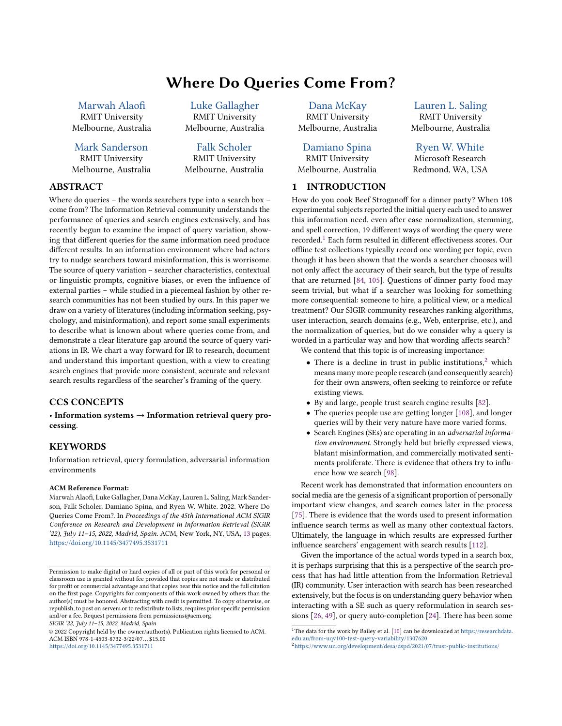is to identify if, by default, a learned sparse index promotes or rescinds the ability for a query variation to return relevant documents that were not previously identified by any other query variation for the given topic. This may serve to guide future research efforts towards a framework that combines user query variations and fairness-aware retrieval techniques within adversarial information environments. To explore these properties, we conduct a preliminary study using a recent learned sparse representation model HDCT [33]. HDCT is an extension of DeepCT [34] which uses contextualized embeddings from a transformer model with a regression layer to learn term weights based on query terms that are present in relevant documents.

Experimental setup. The ClueWeb12C corpus was used [33], i.e., a random 10% subset of the ClueWeb12B corpus containing 5,249,243 documents. The topic set used is the UQV-100 collection [10], consisting of query variations for each of the 100 topics from the TREC 2013–2014 Web tracks. In addition to the ClueWeb12C corpus, judged documents from the UQV-100 collection were also indexed. Two indexes were used: (i) a traditional term-frequency based index (TF), where the source documents were indexed without any further processing, and; (ii) a HDCT index (HDCT-Title) that utilized the title field in source documents in a similar manner to that described by Dai and Callan [33]. The process for HDCT segmented documents into 16,527,770 passages of 300 terms suitable as input for DeepCT. The document title field was used as a query pseudo-signal for the training phase of learning paragraph term weights. Training was performed for 100,000 steps with a batch size of 8 and learning rate of 2e−5. Passage term weights were aggregated with the sum method and a scaling coefficient  $N = 10$  was applied. Indexing and retrieval was performed using the Anserini toolkit [111]. Indexes were constructed with Krovetz stemming and stop words retained. The following parameter configurations for retrieval were used: BM25 with  $k_1 = 0.9$  and  $b = 0.4$ ; QL with  $\mu = 1000$ ; SDM with  $w_t = 0.85, w_0 = 0.1, w_u = 0.05.$ 

Results. Figure 1 displays the consistency in retrieved documents for various system-index combinations using Rank-Biased Overlap (RBO) [104]. RBO ( $p = 0.9$ ) was computed to reflect the depth of the judgment pool and the traditional first Search Engine Result Page (SERP). In general, when running the same query across system-index combinations, the results show low consistency with relatively few exceptions. This gives some indication of the extent to which index variation plays a role in candidate results for learned sparse representations and may be an important factor when considering new frameworks that include a user query variation component. This presents another dimension of variability, and for continually changing adversarial environments any system change has a potential impact on users.

Figure 2 aims to give insight to the retrievability aspect of each retrieval method. The results show the number of variations in which a query variation (within a topic) retrieved a relevant document that was not retrieved by any other variation (within a topic). As can be seen, there are many instances of documents being returned by one variation that no other variations could obtain. Of interest here is that, in the case of initial query formation, users are led down distinct information seeking paths of document exposure. We hypothesize there exists an equivalent potential for retrieval of



**Figure 1:** Evaluation results for RBO ( $p = 0.9$ ). Each retrieval method on the traditional inverted index (TF) is compared against all other retrieval methods on the learned sparse representation index (HDCT-Title).



Figure 2: Number of query variations returning a relevant document that was not retrieved by any other variation within the same topic. Left panel displays the total occurrences; right panel shows occurrences that are unique to a given index, by a system.

unique adversarial documents given a query variation and future work may need to consider adversarial labeled datasets with user query variations [45].

## 4.2 Variability and a commercial search engine

In this second experiment, we aimed to understand how query variations affect modern SEs. Using the UQV-100 dataset [9], we submitted the query variations of 100 topics to a commercial SE and measured the consistency of search results using RBO.

Experimental setup. We used the query variations provided in the UQV-100 test collection and issued the 5,744 variations of the one hundred topics with an average of 57.44 query variations per topic to a widely used commercial SE: Google Search.<sup>3</sup> For each submitted query, we captured the retrieved result URLs and their corresponding rankings from the first SERP. Only URLs of Web documents, videos, and top stories were captured. Advertisements and other less common SERPs items such as social media posts

<sup>3</sup><https://www.google.com>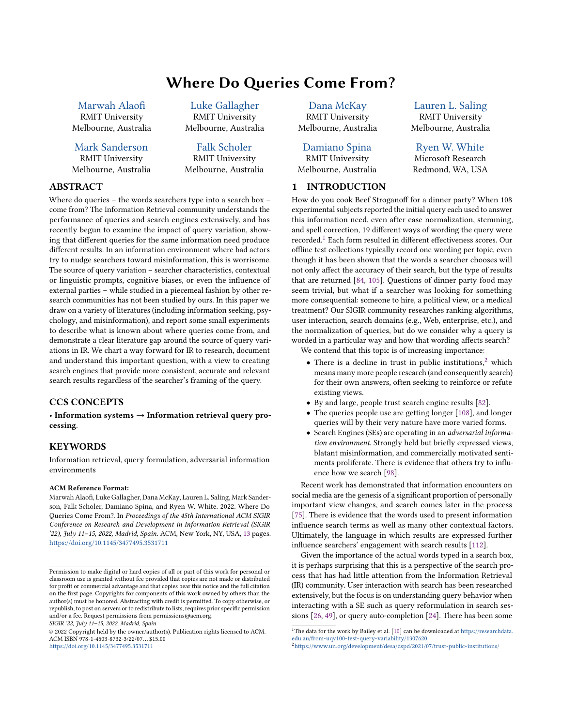were excluded from the collected URLs. Every query was submitted using a new browsing instance, to prevent user profiling.

Evaluation was performed with RBO ( $p = 0.9$ ) to measure the retrieval consistency across query variations for the SE employed in our experiment. The RBO calculation is performed by comparing both sets of result URLs that were returned by a pair of query variations. Each topic RBO score is reported as an average RBO score of all topic variation pairs.

To understand the effect of query variation type on retrieval consistency – for example, how consistent the model is given a variation in query naturality (keyword vs. natural language queries) as opposed to a variation in word ordering – we used the six query variation categories proposed by Penha et al. [84]: aspect change, specialization or generalization, misspelling, paraphrasing, naturality and word ordering. The authors manually annotated 650 randomly selected query variation pairs and assigned them to one or more categories. As UQV-100 query variations are spell-corrected, the misspelling category was not included in the annotated set.

Submitting the *same query* multiple times to a commercial SE may generate different sets of results, e.g., due to dynamic updates. Therefore, it is important to consider the possibly inconsistent nature of SEs when interpreting our findings, i.e., the question of "how much of the inconsistency, if observed, is attributed to query variations rather than the inconsistency of SEs" becomes crucial. To quantify inconsistency, we randomly selected 100 queries from all topics and ran them 10 times at 30-second intervals, giving five minutes total run-time for each query, which exceeded the average time needed to run all query variations for a given topic.

Results. Figure 3 shows the distribution of RBO scores across variation categories, as well as the average RBO score distribution of all query variations across UQV-100 topics. The distribution of samequery RBO scores is also shown for comparison. Results show a clear reduction in retrieval consistency across variation categories when compared to the measured consistency for same-query search result sets. That is, the average topic RBO ranges from 0.09 to 0.66 with a mean of 0.33, which is well below the same-query average RBO score of 0.97.

When considering variation categories, the lowest consistency in RBO is observed in aspect change and specialization/generalization variations. This is not surprising given the expected change in query semantics. Retrieval consistency is, however, still low in other variation categories. For example, the pair of query variations "drug treatment for schizophrenia" and "schizophrenia drugs treatments" – categorized as a change in query naturality – have an RBO score of 0.83 (the overall category RBO median is 0.42). Such minor variations in queries generally have no impact on retrieval consistency in traditional IR. Our preliminary results, however, suggest that a modern commercial SE is likely to be more sensitive to minor changes in queries, and that more emphasis should be given to maintaining consistency across query variations.

#### 4.3 Summing up

The results of these initial analyses demonstrate that query variability has a notable impact on the retrieval effectiveness and consistency of state-of-the-art retrieval algorithms and, as of early 2022, a widely used commercial SE, showing the presence of the issues



Figure 3: RBO distribution given semantic (purple) and syntactic (orange) variation categories, as well as all query variations within a topic (yellow) and same query runs at different intervals (gray). Lines and triangles represent medians and means, respectively.

that this paper considers in both modern commercial and research retrieval systems.

## 5 INFORMATION SEEKING MODELS

One place we might anticipate discussion on where queries come from is in the literature on information seeking. Most models center on search, and therefore queries are an important part of these models. It is perhaps surprising, then, how little most of them have to say about query formation.

Of the major models (Ellis [39], Marchionini [71], Kuhlthau [61], and Wilson [109]), only Marchionini mentions query formulation specifically. This mention is made descriptively, however: it is noted that until the late 1990s, much query formulation was done through the use of intermediaries, and that the emergence of what were, at the time, new search tools meant that users would be formulating their own queries. Marchionini and White [72] expand on this discussion in a later paper, which formalizes the encoding of a query as the 'express' process, and note that there can be semantic differences between the query as a representation of user needs, and the needs themselves. Again, though, the issue of how a user makes the leap from semantic representation to query is skirted.

Ellis' and Kuhlthau's models do not explicitly mention search, although search is clearly a part of each of them – Ellis discusses choosing search sources during monitoring [39], and Kuhlthau talks about 'gathering information' [61], which includes search. Each of these models, however, describes a process moving from needing information through interacting with a system or systems, to having what is needed. Kuhlthau offers some insight into factors that may affect query term choice by noting that information seekers are affected by their emotions and cognitive biases as they move through the information seeking process, and that it can provoke feelings of both anxiety – where information seekers feel they do not know what they are doing – and relief – when they feel they have an answer. Wilson's model expands on this, pointing to demographics, the information seeker's role in the search, psychological and environmental factors as affecting the information seeking process [109]. It seems likely that these factors will affect the ways in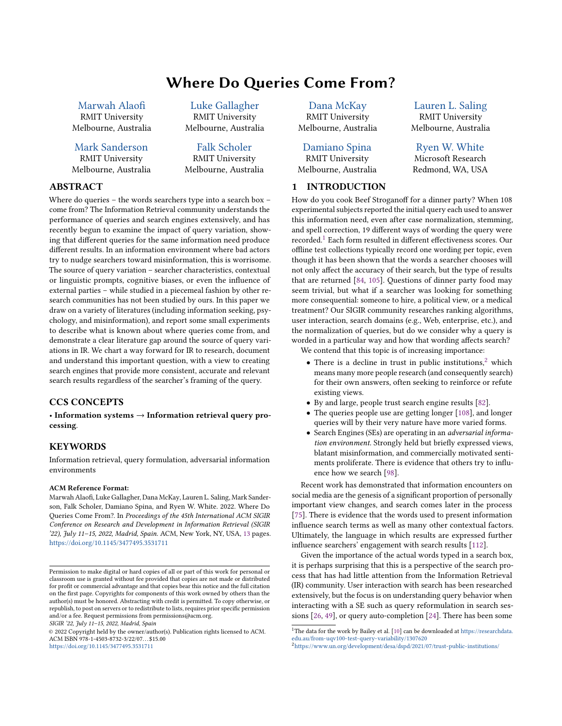which information seekers formulate queries, as well. This remains an open question, though, and one worthy of investigation.

Perhaps the model with the most to say on query formulation is Belkin et al.'s ASK model [15]. This model tracks information seeker needs from the moment they recognize an anomaly in their state of knowledge, until that anomaly is resolved. It notes that one of the core problems of IR is to 'represent what a user doesn't know'. That paper also notes that there is no 'real or true representation of knowledge' in IR, but that there are a range of representations of knowledge – including that of document authors and that of information seekers, which may not be the same [14]. It is again surprising, then, that they do not suggest uncovering how people arrive at the particular representation of knowledge or anomaly that they issue to a system, instead focusing on generating a dialogue between system and user where the representation of this gap might be collaboratively generated.

It is clear, then, that the issue of how queries are formed has been at least considered in IR for over 30 years. In a time where information intermediaries are decisively a relic of the past, though, how people choose the actual words they type into a SE (or issue to a spoken conversational system) is a question overdue for consideration. All of the models presented here rely on repeated interactions between user and system, and the opportunity to browse, see results that were not searched for, and expand information horizons as part of the information seeking process. With these capabilities, the exact search terms an information seeker types in for their first query need not be a complete limit on the types of material that will answer their question. This is not the reality of modern search, though, which is conducted on a SE which focuses on relevance, and where information seekers typically examine few results [92]. The search terms entered, then, are more important than ever. It is for this reason that there have been calls for information interfaces generally [74], and search tools specifically, that present diverse results, or results from diverse viewpoints [46]. While these approaches may be a partial solution, understanding how people arrive at the query they select will allow us to both improve on these approaches, and better understand when they are necessary.

#### 5.1 Potential research contributions

The information seeking models presented here are the basis for much of our understanding of how people go about understanding their need to find information, and then finding it. While the relevance of these models has been questioned (given when they were developed), sometimes research into ongoing validity concludes that the model is still valid, as happened for Kuhlthau et al.'s model in 2008 [62]. In other cases, the models have been expanded to include new behaviors or to model previously unexplored parts of the information seeking process, as Meho and Tibbo did with Ellis' model [76]. In this paper, we are calling for the latter: a reimagining of the models, with a clearer focus on the specifics of query formulation. This re-imagining must be based in empirical research, both large and small scale, qualitative and quantitative. We argue that it is vitally important, in an age where information is so widely weaponized, to understand what elements of the preceding and subsequent stages of each of the major models play a role in the words that are typed into a search box, and whether there

are any other features we can systematize in this way. Creating a model of query formulation specifically would serve not just IR researchers and practitioners, but also information scientists, social scientists, practicing librarians developing information literacy who could improve querying skills [87], and those developing policies and frameworks about issues including information interfaces [46], algorithmic bias [8], and misinformation [29].

## 6 CONTEXT AND COGNITION

The existence of query variations in the context of similarly described information needs shows us that factors other than the information need are at play when searchers generate queries. What are those factors, though, how do they relate to one another? In this section we address some of the potential factors that may be in play in query formulation, thus driving some of the variability identified by IR researchers. We review some of the library and information science research that has examined query formulation in the context of these factors.

#### 6.1 Context

Contextual, psychological, and demographic factors can drive variability in how users formulate queries [43]. Variation in query formulation can substantially affect search result quality and consequent user satisfaction; however, little research was located that explicitly addresses these factors. Contextual factors including task complexity, topic specialization, and topicality have been investigated [5]. However, other potentially significant contextual factors have not been investigated, such as the nature of the information encounter that drives a searcher's information need, or the agenda that motivates a searcher's query. Key psychological factors that may influence query formulation include an individual's pre-existing knowledge of – and beliefs about – the search topic, cognitive style, personality, and cognitive biases.

Of these, recent research has addressed the role of cognitive biases in information seeking and retrieval [5, 58, 105]. Cognitive biases are systematic errors in thinking that are used to simplify judgments and decision-making but may instead undermine the quality of these processes. In the context of information search, cognitive biases can derail a search process by, for instance, encouraging users to frame queries in a positive rather than negative way, and to accept information that accords with prior beliefs. However, little is known about the role of such biases in formulating the first query posed to a SE. There are also some examples of research addressing predictors of retrieval effectiveness, but not query formulation. For instance, Ford et al. [43] found that high retrieval effectiveness was predicted by male gender, high self-efficacy, low topic complexity, and an image-based cognitive style. Demographic factors including age, gender, and political orientation are also likely to impact on query formulation but no research was located that has explicitly addressed this.

Other contextual factors that may affect searcher and SE performance include the input method for the search, e.g., conversational queries are likely to differ from typed queries, and queries typed on a mobile phone from those typed on a keyboard. Similarly, engagement with results is likely to be different based on device, but also on the level of attention a searcher is able to give their task.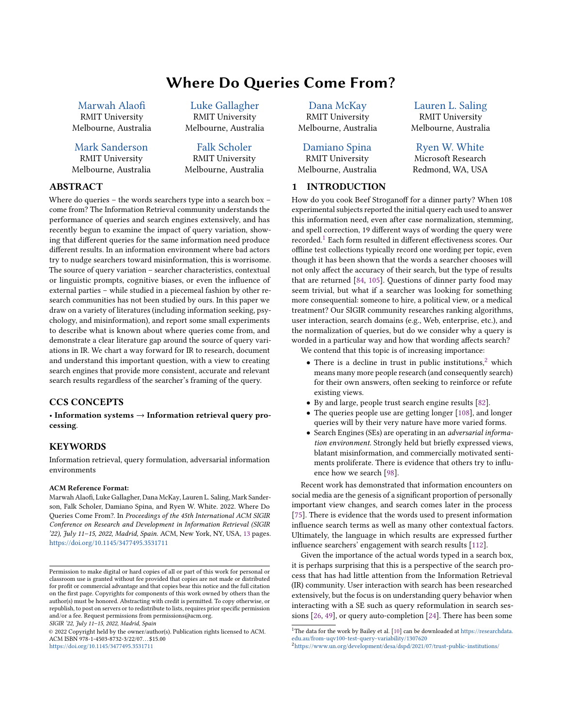Searchers demonstrably perform better when they are focused on their task [110], for example. Understanding how device, input method, and other task factors affect query formulation could improve IR performance dramatically, especially where much of the context is machine detectable.

## 6.2 Functional fixedness

One cognitive bias (largely unexplored in IR) that may play an important role in query formulation is functional fixedness [36], where people are limited to using an object in the way that it is traditionally used. Functional fixedness applies to a range of physical tools and digital tools, from hammers to search systems (it is this phenomenon that is described by the phrase 'to someone with a hammer, everything looks like a nail'). It has been shown to limit human creativity and delay problem solving [1, 20]. Experiments on functional fixedness provide a way to understand an object's psychological structure – the behavioral possibilities and affordances associated with it [113]. Fixedness is not present in young children [44], who have not yet developed mental models of how objects should be used, and may be affected by the nature of previous experience, with one study showing that more variation in prior experiences leads to less fixedness [42].

For SEs, experienced users may consider that they can only be used a certain way and formulate queries accordingly (e.g., as short key phrases with precise terminology [3]). In several studies, novice and experienced searchers have been shown to exhibit significant differences in their search behavior and search outcomes, including in the formulation of queries [3], usage of search tactics [47], and overall task performance [64].

#### 6.3 Language and cognition

When considering language, it is important to ask 'what is a question?'. When MacKay asked this in the 1960s [70], he concluded that a question had to have an 'organizing function', i.e., a way of expressing either what the searcher does not understand (indicatively meaningful), or have meaningful outcomes that change dependent on the answer (interrogatively meaningful). Both question types are important, but those that are indicatively meaningful but do not match the facts in the world – for example, 'where does the sun go at night? The sun doesn't go anywhere, it's the earth that turns'. Both reflect the highest level of confusion on the part of the searcher, and are more likely to be prone to linguistic and conceptual variation. This also means that in this state, the searcher is particularly suggestible, whether by a helpful (though potentially biased) reference librarian [96], or by a malicious information adversary. Early work on cognitive models and information transfer [14] note that when people try to answer questions using a system, the system acts as an intermediary between the questioner and the authors of texts that may answer the question, and this has implications for language – on the part of both system and searcher – and trust in the intermediary that are under explored.

As noted above, queries may vary significantly in the language used by the searcher [7, 13]. Queries may be formulated using natural language, keywords, domain-specific language, and computerbased languages. Search queries may also vary in their valence: in other words, a given query may be posed positively or negatively

[65]. For instance, "are vaccines safe?" is likely to deliver very different results to "are vaccines dangerous?" Contextual or individual factors may tacitly or explicitly influence both the valence and language of a query. At times users may consciously choose one query form over another in order to obtain particular results. At other times, query variation is accidental. Users are typically not aware that the system is highly sensitive to even slight variations in query formulation. For example, White and Hassan [106] showed that the presence of specific query terms – e.g., "help" (more likely to match pages affirming the effectiveness of a treatment), "can" (denoting possibility), "cure" (often matching spurious content) – reduces search result accuracy.

The review by Wacholder [103] on query formulation argues for more study of the cognitive and linguistic aspects of query formulation, and of the contexts in which query formulation may occur. Wacholder describes the difficulty in studying cognition as a significant bottleneck. Some of the linguistic literature, such as the importance of vocabulary and syntax, has been summarized by Wacholder [103], who points to work by (e.g.) Vakkari et al. [99], noting that vocabulary is a major problem when people are searching outside their domain of expertise. Studies of multilingual searchers also note that searchers may struggle when searching in a second (or third) language [93]. Taken together, these elements suggest that people unfamiliar with a topic may be more inclined to use readily available search terms, such as words in a piece of encountered information – but we do not know this for sure. Finally, the context in which people are searching – e.g., what prompted an information need, the physical environment in which they are searching, the device they are using, and their time, needs and preferences – are all pointed to by Wacholder as important (echoing Wilson's model [109]), but understudied.

#### 6.4 Potential research contributions

The research survey here shows that queries may vary along a number of dimensions, including linguistic, contextual, and cognitive. While Wacholder proposed a basic model of query formulation, there are still many unanswered questions: how does an information seeker move from an 'anomalous state of knowledge' [15] to typing in a query? What factors in the search influence that process, and are they open to abuse by bad actors promoting misinformation? Most importantly, can we correct for any of this influence? These questions appear un- or under-examined in the IR literature.

One way we might address these questions is to isolate some of these factors by controlling the information encounter, and resulting information need. Examining the queries produced in different cognitive, contextual and linguistic situations may show us consistent variations between groups, and thus tell us something about the role of these non-information factors in where queries come from. Query variation will be documented as a function of individual differences (including demographic and psychological factors) as well as contextual factors (time of day, pre-existing knowledge and beliefs about the topic, etc.). Controlling for the search aim and information encounter will enable identification of determinants of variation in the way that queries are formulated. Further tweaks to this research could involve the use of eyetrackers to understand how people engage with different types or elements of information,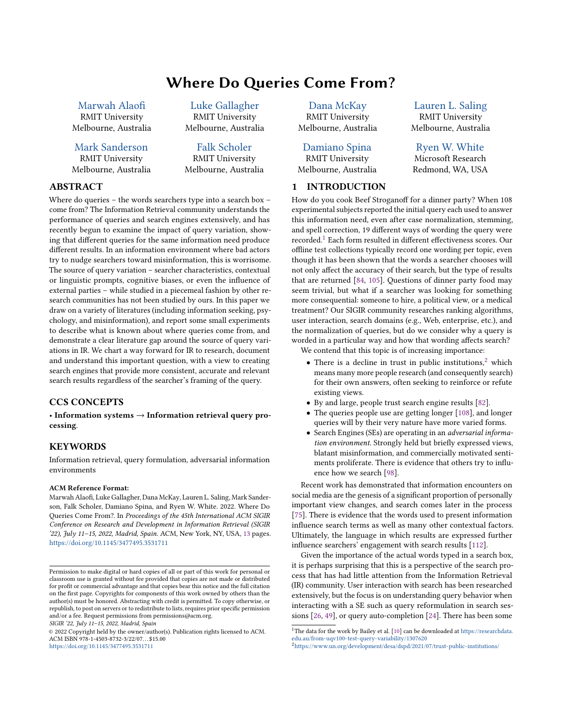and relating the ways people scan information to the queries they ultimately construct.

Once we have an understanding of the factors that affect formulation, variation in search results as a function of different query formulations will be measured in order to distinguish innocuous variation from variation that produces misleading results. Reducing system sensitivity to slight changes in query formulation will maximize a user's search experience and agency by more reliably producing high quality search results.

Finally, learning from the query formulation strategies of search experts to benefit everyone has long been argued for [107]. However, given the presence of functional fixedness, there may be cases where novice searchers, unconstrained by past experiences (i.e., little or no fixedness) with SEs may formulate more effective search queries than seasoned experts. If those queries or query classes can be reliably identified algorithmically, one might up-weight the querying activity of these novices when training algorithms to, say, generate query suggestions or query auto-completions for matching queries; more study on this is required. Given the effects of the number of pre-utilization functions [42] (i.e., how many prior uses a person has for an object), the nature of people's longitudinal search behavior may also contribute to the extent of functional fixedness that they experience. Repetition of queries over time has been found to be common [97] and searchers with a low variance in their historical queries may be more susceptible to fixedness effects and require support to help overcome it.

Understanding the contextual, linguistic, and cognitive factors that affect query formulation will give us new understanding of the issues described in the next section.

#### 7 QUERY (RE)FORMULATION

There is some existing research on how queries are formed. Some of this work comes from the library science domain, and is based on asking searchers what query they would generate given an information need scenario (this research is summarized in [103]). We already know that people are less invested in artificially constructed information than they are in their own information needs [54], so these studies, while interesting, offer limited insight into the true query formulation experience. We can supplement this understanding by examining query logs, understanding query elicitation, and looking at query reformulation.

#### 7.1 Examination of query logs

One approach to understanding the queries information seekers generate is through transaction logs, though these logs of course cannot reveal searcher intention, nor searcher experience. Many log studies show that information seekers typically type in short, generic queries the majority of the time [63, 92]. This has usually been attributed to poor search skills, but more recent work demonstrating that searchers change their behavior in response to the underlying SE – even where the interface remains the same – suggest that this might be an economical, rather than a naïve strategy [73]. This study approach, while it reveals a little about query formation, does so without an understanding of the information needs of the searchers studied – only the representation they make of them. The challenge with query log studies is that they usually use

a click graph to find equivalences in queries. Documents that are both retrieved and clicked on by users are assumed to be a means of identifying queries in common. Apart from one exception we are aware of [67], this largely unstudied topic would offer valuable examination in the context of query variability. One could examine if using a click graph is reliable enough to characterize the extensive variability of searchers, and the consequent impact on retrieval effectiveness. Such a study would need to combine both query log data and sets of query variations generated by other means.

### 7.2 Query elicitation from auto-completion

Query Auto-Completion (QAC) is one of the mechanisms SEs provide to assist users in formulating their queries [24, 35, 60]. As soon as a user starts typing into the query box, the QAC component suggests possible ways of completing the query. QAC aims to save time and effort (e.g., keystrokes) to the user by efficiently suggesting queries from a large set of query logs.

QAC relies on a number of features coded in query logs created by previous users' interactions [52]. These signals include: query frequency [12]; performance prediction [69]; query reformulations [53]; click-through features [25]; and context-aware features such as time [90], location [89], or spoken conversations [102].

A known side-effect of QAC is that this process can reinforce stereotypes and unintended biases present in query logs [56, 79, 81]. In the worst case, this can create harm or discrimination. But it may also lead to drift from the initial intent the user had: the queries suggested by QAC are a direct prompt of how to instantiate an information need [72]. Another side-effect of QAC is that it converges to less variation in the queries submitted to the SE, narrowing the query space: as users are more likely to use one of the suggested queries – already existing in the query logs – they are less likely to create a new query variation. This also impacts on the retrievability of documents [6], as new query variations may lead to the retrieval of documents that have not been retrieved before. Our experiments in Section 4.1 corroborate the latter (see Figure 2).

#### 7.3 Query elicitation from librarians

That queries are a representation of something we do not know [15], and are difficult to generate [21, 94], has been seen in a range of works from IR and LIS. Early work suggested this problem might be addressed by systems interacting with information seekers to understand their information needs [15, 30, 80]. To this end, there were many studies of reference interviews to understand 'query elicitation' – the process of a reference librarian asking questions to understand how to best encode an information need as a search [30, 80]. The predominant findings of these studies are that information seekers initially specify what they need very loosely, and that a conversation with a reference librarian can increase the specificity of needs such as the topic of the search, acceptable sources for an answer, or how recent results must be. Of course, the biases of the intermediary in this situation become an additional layer over the query that is ultimately generated, potentially changing the information that users access [96].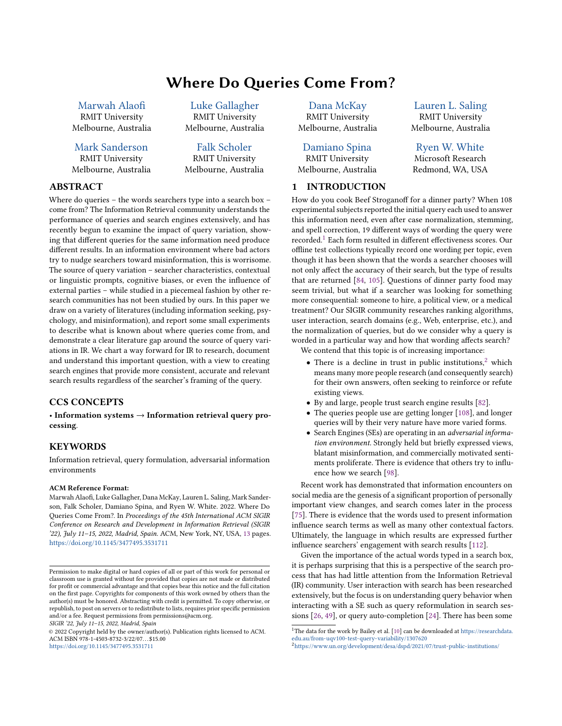## 7.4 Reformulation

A common search experience is one composed of a series of interactions with a SE, involving a session of query reformulations (w.r.t. a single information need) [49, 55]. Query log analysis has repeatedly shown that a significant fraction of users reformulate their initial query [83, 92]. Reformulated queries are unlike initial queries, however: by constructing an initial query searchers have surmounted one of the greatest difficulties in search (describing something they do not have [21]). The search results then give searchers new knowledge, both in terms of the vocabulary they might use and the type of results they might get.

Searchers' frequent query reformulation prompted research efforts such as the TREC Session Track [55] which helped to identify some of the inherent limitations (and unresolved system challenges [31, §5.3.2]) of the single query test collection view.

Query reformulation has been extensively investigated in many forms including user behavior analysis [28, 37, 50], models of cognition [59] and predictive models for various information prompting strategies such as query suggestion [91], query intent prediction [4, 27], query understanding [26], and more recently proactive reformulation [88]. It reflects a shift in cognition as user interaction unfolds, whereby the underlying information need is refined in order to elicit a different (but related) system response.

The way in which users reformulate their queries is an integral aspect of many query reformulation studies. Reformulations are often characterized by syntactical changes (e.g., word retention and removal) and/or intentional changes (e.g., specification and generalization). Huang and Efthimiadis [48] analyzed query logs and prior work to synthesize a taxonomy of transformation strategies. Their proposed strategies are mainly based on syntactical changes such as word reordering, removal, and use of abbreviations/acronyms. The authors evaluate the different reformulations using interaction metrics derived from click data and identify which reformulations are more effective (i.e., likely to cause clicks, given useful and not useful result sets).

Session-level factors such as task type, previous queries and user preferences and cognition styles have shown a potential effect on query reformulations. In a controlled lab experiment, Liu et al. [68] observed a significant effect of task type and objective, and subjective difficulty, on reformulation behavior. No statistical difference was observed between reformulation strategies and the cognitive abilities of participants. In another study, Kinley et al. [59] showed that users' query reformulation behavior is affected by their cognitive styles. For example, analytic users are more likely to add, remove and replace terms in query reformulations, compared to wholist users (i.e., users who retain an overall view of information) who tend to compose new reformulated queries. Jiang and Ni [51] investigated the factors that influence word changes in query reformulations. Their findings suggest that task and user characteristics may not directly affect users' decisions on word changes, but their previous queries may do. For example, users are less likely to remove a word that appeared frequently in previous queries.

While the literature has thoroughly studied different query reformulation strategies, factors influencing their use and their impact on the user's overall search experience, only a limited body of

research has investigated the effect of modern SEs on query reformulations. Most of the available work has focused on studying the effect of SERP snippets and landing pages [37, 38, 91]. The question of how other SERP components such as direct answers, suggested searches and related entities influence user reformulation decisions remain under-investigated.

Sloan et al. [91] observed similarity between reformulated queries and the preceding query's clicked snippets and pages. Similar findings were observed by Eickhoff et al. [38]. In a follow-up eye-gaze tracking study, Eickhoff et al. [37] found that though 43% of all added query terms have occurred in previously visited SERPs and pages, the number of the added terms users actually paid attention to is much lower (21%). Chen et al. [28] attempted to understand fine-grained reformulation behaviors in the context of modern SEs. They examined the utility of reformulation entries such as the search input box, suggested queries, related entities and hot queries. Their findings showed that most reformulations are submitted using the input box (83.64%) and hot queries (10.95%) with a low utilization of other reformulation entries over session iterations. As an attempt to identify the inspiration source for each reformulation, users were asked to specify the source as being a landing page, snippets or other SERP components. Their findings suggest that 58.73% of reformulations were adopted from neither, with other SERP components contributing to 17.19% of the submitted reformulations, followed by landing pages (12.88%), and snippets (11.12%).

Though Chen et al. [28] initiated an interesting line of research, the explicit nature of their data collection, which relies on usersupplied input given within a 2-day window, may not precisely capture the source of inspiration for query reformulations. Users may find it difficult to articulate the source of their reformulations particularly as more time passes. Query reformulation is also a complex process and requires information synthesis, which may not be reflected at the term level, which is the the main signal being captured in existing work. More signals – explicit and implicit – could be utilized to gain better insights into the source of reformulations in the context of modern SEs.

#### 7.5 Potential research contributions

Studies of query logs, query elicitation, and query reformulation can offer us some information about where queries come from, but each approach has its limitations.

The challenge with query log studies is that they usually use a click graph to find equivalences in queries. Documents that are both retrieved and clicked on by users are assumed to be a means of identifying queries in common. Apart from one exception we are aware of [67], this largely understudied topic would offer valuable examination of query variability. One could examine whether using a click graph is reliable enough to characterize the extensive variability of searchers, and the consequent impact on retrieval effectiveness. Such a study would need to combine both query log data and sets of query variations generated by other means.

It might be tempting to consider QAC as the solution to varying result quality caused by the query variation identified by the research detailed above. However, the experiments on commercial SEs suggest that the breadth of variation that searches are displaying goes beyond the normalization that QAC provides. The completion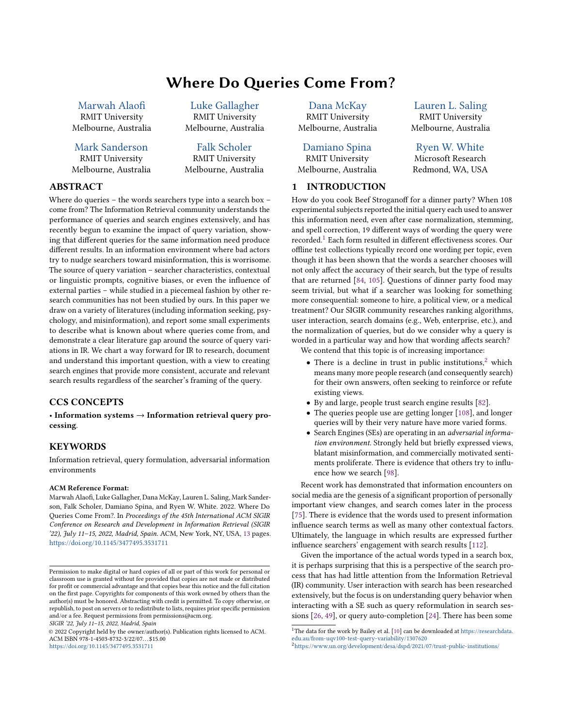often uses query logs as a means of identifying the types of query variations that could be harmonized in the completion. As detailed earlier, it is not clear that query logs are a sufficient record capable of capturing the broad variability that searches appear to be displaying. A means of better identifying query variations will be required, and then that extensive variation fed into QAC systems.

Besides QAC and query reformulation, there are other mechanisms to support the formulation of information needs. For instance, asking clarifying questions [2, 114], query rewriting for conversational search [77, 100], or auto-completion of voice queries [95].

The study of reformulation is the study of queries during a session. One line of research is to investigate whether within-session query changes reflect the same characteristics as query variability from distinct users for the same information need, and whether the interactions and information encounters or prompts that take place have similar or different influence on a users next interaction.

Query variability and session variability may have commonalities, so it would be interesting to explore whether session variability can help to inform us of the more general query variability. A crowd sourced session variability dataset may help to better understand some of these questions. Pairwise reformulation judgments could be a data driven way to reveal new patterns that extend the work of Penha et al. [84]. Further understanding of whether different patterns exist in different domains – for example, legal and medical search, where the cost of being misinformed is greater than a casual ad hoc query – is also important.

Each of these types of study, though, give us only part of the picture of how individual users with their own information needs form queries. We have some insight, but we still do not know, for example, the ways in which distraction and reformulation interact to result in the particular query a searcher will issue in response to an information need. This type of holistic understanding would allow us to design SEs to support searchers in meeting their actual information needs, and in preventing the worst damage caused by searches returning (and searchers using) misinformation.

#### 8 WHERE NEXT?

The intention of this paper is to establish the following problem: we do not have a comprehensive picture of how searchers select the terms they type into a search box. We know that there are likely to be cognitive, linguistic, informational, and contextual factors at work in this process, but how they fit together remains unclear.

We can see traces of the impact of all of these factors in research on formulation conducted in library science, in query reformulation studies, and in studies of query elicitation. The largest traces seen in IR, though, are in the emerging stream of work on query variation: we now know that searchers will generate a wide range of variations for a single stated information need, and that those variations affect what is returned by search systems. In an adversarial information environment, it is a matter of urgency to ensure search systems cope with query variations that have been 'nudged' toward misinformation by bad actors. It is also important to ensure SEs are performing equitably: that searchers are getting equally useful results regardless of factors such as race or gender.

Understanding how these various factors fit together will require a mixed-methods approach of qualitative and quantitative work to narrow down the impact of various personal and environmental factors, and generate new models of query formulation. This will require information scientists, psychologists, human-computer interaction researchers, and IR specialists to work together, as Fidel has called for [41]. For the IR community, the ultimate goal will be to generate test collections reflecting the query variability we know exists, but with an understanding of how that variability comes to be, so that search systems can respond to underlying problems.

The generation of such test collections will result in further interesting challenges for the IR community: it cannot be ignored that adding a substantial number of query variations for each topic in a test collection will increase the amount of work required in generating the relevance judgments for that collection. Means of alleviating that work is itself a source of research opportunity [78]. Query variations could be formed through generative methods, such as those examined recently by Penha et al. [84].

With such collections in place, a range of studies can be conducted. Different query normalization techniques beyond current stemming or QAC approaches could be tested under a much wider set of variations. One could understand from the variant data which are the more or less popular variations that are tried, studying the relationship between popularity and effectiveness. With a rich collection of query variations included in test collections, there is also the potential for retrieval algorithms to identify the most successful variations and then harmonize the results with poorer variations, so that less well-formulated query variations can be rewarded with results from the most effective variation.

## 9 CONCLUSIONS

This perspectives paper has outlined a new challenge to the IR community: Where do queries come from?

New areas of IR research often arise from new types of document collections or algorithms. While various aspects of this question have been investigated, many of these are under-studied, and there is no overall understanding or framework of how users ultimately come up with the precise query that they choose to submit to a search system. We have outlined a range of different research perspectives, and identified distinct means by which this topic can be studied in future.

Potential research directions were outlined to identify approaches from the qualitative (e.g., psychological studies involving user experiments in a range of different contexts involving a broad range of individuals) as well as quantitative (e.g. large-scale algorithmic examinations of query logs, as well as retrieval algorithms) perspectives, all with the goal of improving retrieval effectiveness.

It is our hope that this perspectives paper spurs the community into examining this topic more extensively. The history of IR research has shown significant gains in improvement of search systems by starting with the query. Imagine how much further we could go if we understood the ways in which that query was created. This will require a new stream of research, one that begins with an Anomalous State of Knowledge and ends with a query.

## ACKNOWLEDGMENTS

This work is partially supported by the Australian Research Council (CE200100005, DE200100064, DP190101113).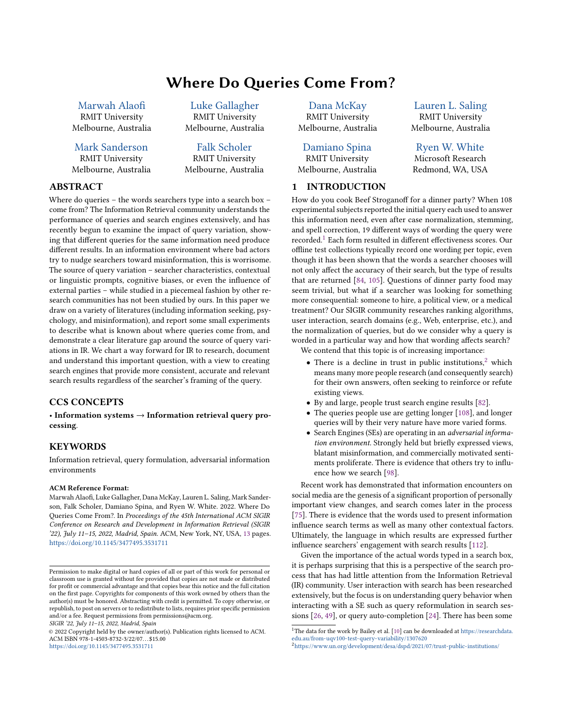#### **REFERENCES**

- [1] Robert E Adamson. 1952. Functional fixedness as related to problem solving: A repetition of three experiments. Journal of Experimental Psychology 44, 4 (1952), 288. <https://doi.org/10.1037/h0062487>
- [2] Mohammad Aliannejadi, Hamed Zamani, Fabio Crestani, and W. Bruce Croft. 2019. Asking clarifying questions in open-domain information-seeking conversations. In Proceedings of the 42nd International ACM SIGIR Conference on Research and Development in Information Retrieval. 475–484. [https://doi.org/10.](https://doi.org/10.1145/3331184.3331265) [1145/3331184.3331265](https://doi.org/10.1145/3331184.3331265)
- [3] Anne Aula. 2003. Query formulation in web information search. In Proceedings of the International Conference WWW/Internet. 403–410.
- [4] Ahmed Hassan Awadallah, Ryen W. White, Patrick Pantel, Susan T. Dumais, and Yi-Min Wang. 2014. Supporting complex search tasks. In Proceedings of the 23rd ACM CIKM International Conference on Information and Knowledge Management. 829–838. <https://doi.org/10.1145/2661829.2661912>
- [5] Leif Azzopardi. 2021. Cognitive biases in search: A review and reflection of cognitive biases in information retrieval. In Proceedings of the 2021 ACM SIGIR CHIIR Conference on Human Information Interaction and Retrieval. 27–37. [https:](https://doi.org/10.1145/3406522.3446023) [//doi.org/10.1145/3406522.3446023](https://doi.org/10.1145/3406522.3446023)
- [6] Leif Azzopardi and Vishwa Vinay. 2008. Retrievability: An evaluation measure for higher order information access tasks. In Proceedings of the 17th ACM CIKM Conference on Information and Knowledge Management. 561–570. [https://doi.](https://doi.org/10.1145/1458082.1458157) [org/10.1145/1458082.1458157](https://doi.org/10.1145/1458082.1458157)
- [7] Judith L. Bader and Mary Frances Theofanos. 2003. Searching for cancer information on the internet: Analyzing natural language search queries. Journal of Medical Internet Research 5, 4 (2003), e31. <https://doi.org/10.2196/jmir.5.4.e31>
- Ricardo Baeza-Yates. 2018. Bias on the web. Commun. ACM 61, 6 (May 2018), 54–61. <https://doi.org/10.1145/3209581>
- [9] Peter Bailey, Alistair Moffat, Falk Scholer, and Paul Thomas. 2015. User variability and IR system evaluation. In Proceedings of the 38th International ACM SIGIR Conference on Research and Development in Information Retrieval. 625–634. <https://doi.org/10.1145/2766462.2767728>
- [10] Peter Bailey, Alistair Moffat, Falk Scholer, and Paul Thomas. 2016. UQV100: A test collection with query variability. In Proceedings of the 39th International ACM SIGIR Conference on Research and Development in Information Retrieval. 725–728. <https://doi.org/10.1145/2911451.2914671>
- [11] Peter Bailey, Alistair Moffat, Falk Scholer, and Paul Thomas. 2017. Retrieval consistency in the presence of query variations. In Proceedings of the 40th International ACM SIGIR Conference on Research and Development in Information Retrieval. 395–404. <https://doi.org/10.1145/3077136.3080839>
- [12] Ziv Bar-Yossef and Naama Kraus. 2011. Context-sensitive query auto-completion. In Proceedings of the 20th International Conference on World Wide Web. 107–116. <https://doi.org/10.1145/1963405.1963424>
- [13] Cory Barr, Rosie Jones, and Moira Regelson. 2008. The linguistic structure of English web-search queries. In Proceedings of the 2008 Conference on Empirical Methods in Natural Language Processing. 1021–1030. [https://aclanthology.org/](https://aclanthology.org/D08-1107) [D08-1107](https://aclanthology.org/D08-1107)
- [14] Nicholas J. Belkin. 1984. Cognitive models and information transfer. Social Science Information Studies 4, 2 (1984), 111–129. [https://doi.org/10.1016/0143-](https://doi.org/10.1016/0143-6236(84)90070-X) [6236\(84\)90070-X](https://doi.org/10.1016/0143-6236(84)90070-X)
- [15] Nicholas J. Belkin, Robert N. Oddy, and Helen M. Brooks. 1982. Ask for information retrieval: Part I. Background and theory. Journal of Documentation 38, 2 (1982), 61–71. <https://doi.org/10.1108/eb026722>
- [16] Rodger Benham and J. Shane Culpepper. 2017. Risk-reward trade-offs in rank fusion. In Proceedings of the 22nd Australasian Document Computing Symposium. Article 1, 8 pages. <https://doi.org/10.1145/3166072.3166084>
- [17] Rodger Benham, J. Shane Culpepper, Luke Gallagher, Xiaolu Lu, and Joel Mackenzie. 2018. Towards efficient and effective query variant generation. In Proceedings of the First Biennial Conference on Design of Experimental Search and Information Retrieval Systems. 62–67. <http://ceur-ws.org/Vol-2167/paper4.pdf>
- [18] Rodger Benham, Luke Gallagher, Joel Mackenzie, Tadele Tedla Damessie, Ruey-Cheng Chen, Falk Scholer, Alistair Moffat, and J. Shane Culpepper. 2017. RMIT at the 2017 TREC Core track. In Proceedings of the 26th Text REtrieval Conference. <https://trec.nist.gov/pubs/trec26/papers/RMIT-CC.pdf>
- [19] Rodger Benham, Joel Mackenzie, Alistair Moffat, and J. Shane Culpepper. 2019. Boosting search performance using query variations. ACM Transactions on Information Systems 37, 4 (2019), 41:1–41:25. <https://doi.org/10.1145/3345001>
- [20] Herbert G Birch and Herbert S Rabinowitz. 1951. The negative effect of previous experience on productive thinking. Journal of Experimental Psychology 41, 2 (1951), 121. <https://doi.org/10.1037/h0062635>
- [21] Christine L. Borgman. 1996. Why are online catalogs still hard to use? *Journal* of the American Society for Information Science 47, 7 (1996), 493–503.
- [22] Timo Breuer, Norbert Fuhr, and Philipp Schaer. 2022. Validating simulations of user query variants. In Proceedings of the 44th European Conference on Information Retrieval Research. 80–94. [https://doi.org/10.1007/978-3-030-99736-6\\_6](https://doi.org/10.1007/978-3-030-99736-6_6)
- [23] Chris Buckley and Janet A. Walz. 1999. The TREC-8 Query track. In Proceedings of the 8th Text REtrieval Conference. [http://trec.nist.gov/pubs/trec8/papers/](http://trec.nist.gov/pubs/trec8/papers/qtrack.pdf) [qtrack.pdf](http://trec.nist.gov/pubs/trec8/papers/qtrack.pdf)
- [24] Fei Cai and Maarten de Rijke. 2016. A survey of query auto completion in information retrieval. Foundations and Trends in Information Retrieval 10, 4 (Sep 2016), 273–363. <https://doi.org/10.1561/1500000055>
- [25] Fei Cai, Ridho Reinanda, and Maarten De Rijke. 2016. Diversifying query autocompletion. ACM Transactions on Information Systems 34, 4, Article 25 (Jun 2016). <https://doi.org/10.1145/2910579>
- [26] Yi Chang and Hongbo Deng. 2020. Query Understanding for Search Engines. Springer. <https://doi.org/10.1007/978-3-030-58334-7>
- [27] Jia Chen, Yiqun Liu, Jiaxin Mao, Fan Zhang, Tetsuya Sakai, Weizhi Ma, Min Zhang, and Shaoping Ma. 2021. Incorporating query reformulating behavior into web search evaluation. In Proceedings of the 30th ACM CIKM International Conference on Information and Knowledge Management. 171–180. [https://doi.](https://doi.org/10.1145/3459637.3482438) [org/10.1145/3459637.3482438](https://doi.org/10.1145/3459637.3482438)
- [28] Jia Chen, Jiaxin Mao, Yiqun Liu, Fan Zhang, Min Zhang, and Shaoping Ma. 2021. Towards a better understanding of query reformulation behavior in web search. In Proceedings of The Web Conference 2021. 743–755. [https://doi.org/10.1145/](https://doi.org/10.1145/3442381.3450127) [3442381.3450127](https://doi.org/10.1145/3442381.3450127)
- [29] Charles L. A. Clarke, Saira Rizvi, Mark D. Smucker, Maria Maistro, and Guido Zuccon. 2020. Overview of the TREC 2020 Health Misinformation Track. In Proceedings of the Twenty-Ninth Text REtrieval Conference (NIST Special Publication, Vol. 1266). <https://trec.nist.gov/pubs/trec29/papers/OVERVIEW.HM.pdf>
- [30] Andy Crabtree, Michael B. Twidale, Jon O'Brien, and David M. Nichols. 1997. Talking in the library: Implications for the design of digital libraries. In Proceedings of the 2nd ACM International Conference on Digital Libraries. 221–228. <https://doi.org/10.1145/263690.263824>
- [31] J. Shane Culpepper, Fernando Diaz, and Mark D. Smucker. 2018. Research frontiers in information retrieval: Report from the third strategic workshop on information retrieval in Lorne (SWIRL 2018). SIGIR Forum 52, 1 (2018), 34–90. <https://doi.org/10.1145/3274784.3274788>
- [32] J. Shane Culpepper, Guglielmo Faggioli, Nicola Ferro, and Oren Kurland. 2021. Topic difficulty: Collection and query formulation effects. ACM Transactions on Information Systems 40, 1, Article 19 (Sep 2021). <https://doi.org/10.1145/3470563>
- [33] Zhuyun Dai and Jamie Callan. 2020. Context-aware document term weighting for ad-hoc search. In Proceedings of The Web Conference 2020. 1897–1907. [https:](https://doi.org/10.1145/3366423.3380258) [//doi.org/10.1145/3366423.3380258](https://doi.org/10.1145/3366423.3380258)
- [34] Zhuyun Dai and Jamie Callan. 2020. Context-aware term weighting For first stage passage retrieval. In Proceedings of the 43rd International ACM SIGIR Conference on Research and Development in Information Retrieval. 1533–1536. <https://doi.org/10.1145/3397271.3401204>
- [35] Giovanni Di Santo, Richard McCreadie, Craig Macdonald, and Iadh Ounis. 2015. Comparing approaches for query autocompletion. In Proceedings of the 38th International ACM SIGIR Conference on Research and Development in Information Retrieval. 775–778. <https://doi.org/10.1145/2766462.2767829>
- [36] Karl Duncker and Lynne S Lees. 1945. On problem-solving. Psychological Monographs 58, 5 (1945), i. <https://doi.org/10.1037/h0093599>
- [37] Carsten Eickhoff, Sebastian Dungs, and Vu Tran. 2015. An eye-tracking study of query reformulation. In Proceedings of the 38th International ACM SIGIR Conference on Research and Development in Information Retrieval. 13–22. [https:](https://doi.org/10.1145/2766462.2767703) [//doi.org/10.1145/2766462.2767703](https://doi.org/10.1145/2766462.2767703)
- [38] Carsten Eickhoff, Jaime Teevan, Ryen White, and Susan T. Dumais. 2014. Lessons from the journey: a query log analysis of within-session learning. In Proceedings of the 7th ACM International Conference on Web Search and Data Mining. 223–232. <https://doi.org/10.1145/2556195.2556217>
- [39] David Ellis. 1989. A behavioural model for information retrieval system design. Journal of Information Science 15, 4-5 (1989), 237–247. [https://doi.org/10.1177/](https://doi.org/10.1177/016555158901500406) [016555158901500406](https://doi.org/10.1177/016555158901500406)
- [40] Nicola Ferro, Yubin Kim, and Mark Sanderson. 2019. Using collection shards to study retrieval performance effect sizes. ACM Transactions on Information Systems 37, 3, Article 30 (Mar 2019). <https://doi.org/10.1145/3310364>
- [41] Raya Fidel. 2012. Human Information Interaction: An Ecological Approach to Information Behavior. MIT Press.
- [42] John H Flavell, Allan Cooper, and Robert H Loiselle. 1958. Effect of the number of pre-utilization functions on functional fixedness in problem solving. Psychological Reports 4, 3 (1958), 343–350. <https://doi.org/10.2466/PR0.4.3.343-350>
- [43] Nigel Ford, David Miller, and Nicola Moss. 2001. The role of individual differences in internet searching: An empirical study. Journal of the American Society for Information Science and Technology 52, 12 (2001), 1049–1066. <https://doi.org/10.1002/asi.1165>
- [44] Tim P German and Margaret Anne Defeyter. 2000. Immunity to functional fixedness in young children. Psychonomic Bulletin & Review 7, 4 (2000), 707–712. <https://doi.org/10.3758/bf03213010>
- [45] Michael Golebiewski and danah boyd. 2019. Data voids: Where missing data can easily be exploited. Data & Society (2019).
- [46] Natali Helberger. 2011. Diversity by design. Journal of Information Policy 1, 1 (2011), 441–469. <https://doi.org/10.5325/jinfopoli.1.2011.0441>
- [47] Ingrid Hsieh-Yee. 1993. Effects of search experience and subject knowledge on the search tactics of novice and experienced searchers. Journal of the American Society for Information Science 44, 3 (1993), 161–174.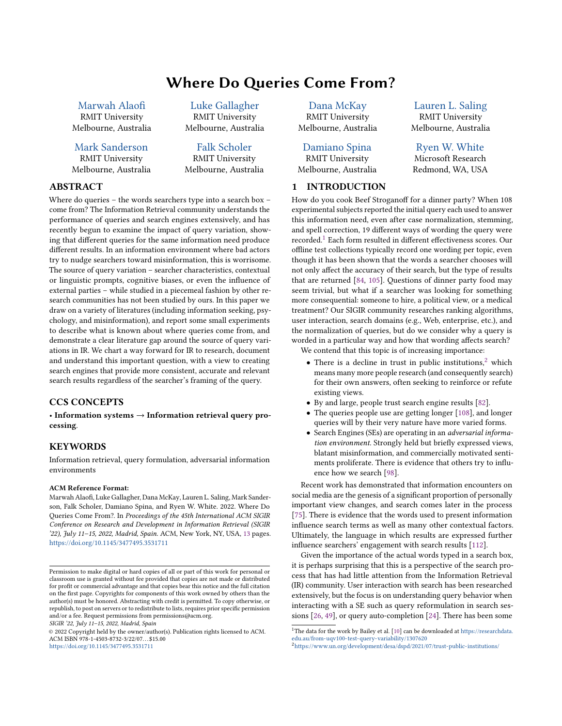- [48] Jeff Huang and Efthimis N. Efthimiadis. 2009. Analyzing and evaluating query reformulation strategies in web search logs. In Proceedings of the 18th ACM CIKM Conference on Information and Knowledge Management. 77–86. [https:](https://doi.org/10.1145/1645953.1645966) [//doi.org/10.1145/1645953.1645966](https://doi.org/10.1145/1645953.1645966)
- [49] Bernard J. Jansen, Amanda Spink, Chris Blakely, and Sherry Koshman. 2007. Defining a session on Web search engines. Journal of the Association for Information Science and Technology 58, 6 (2007), 862–871. [https://doi.org/10.1002/](https://doi.org/10.1002/asi.20564) [asi.20564](https://doi.org/10.1002/asi.20564)
- [50] Jiepu Jiang, Daqing He, and James Allan. 2014. Searching, browsing, and clicking in a search session: Changes in user behavior by task and over time. In Proceedings of the 37th International ACM SIGIR Conference on Research and Development in Information Retrieval. 607–616. <https://doi.org/10.1145/2600428.2609633>
- [51] Jiepu Jiang and Chaoqun Ni. 2016. What affects word changes in query reformulation during a task-based search session?. In Proceedings of the 2016 ACM CHIIR Conference on Human Information Interaction and Retrieval. 111–120. <https://doi.org/10.1145/2854946.2854978>
- [52] Jyun-Yu Jiang and Pu-Jen Cheng. 2016. Classifying user search intents for query auto-completion. In Proceedings of the 2016 ACM ICTIR International Conference on the Theory of Information Retrieval. 49–58. [https://doi.org/10.1145/2970398.](https://doi.org/10.1145/2970398.2970400) [2970400](https://doi.org/10.1145/2970398.2970400)
- [53] Jyun-Yu Jiang, Yen-Yu Ke, Pao-Yu Chien, and Pu-Jen Cheng. 2014. Learning user reformulation behavior for query auto-completion. In Proceedings of the 37th International ACM SIGIR Conference on Research and Development in Information Retrieval. 445–454. <https://doi.org/10.1145/2600428.2609614>
- [54] Matthew Jiwa, Patrick S Cooper, Trevor T-J Chong, and Stefan Bode. 2021. Choosing increases the value of non-instrumental information. Scientific Reports 11, 1 (2021), 1–11. <https://doi.org/10.1038/s41598-021-88031-y>
- [55] Evangelos Kanoulas, Paul D. Clough, Ben Carterette, and Mark Sanderson. 2010. Overview of the TREC 2010 Session track. In Proceedings of the 19th Text REtrieval Conference. [https://trec.nist.gov/pubs/trec19/papers/SESSION.](https://trec.nist.gov/pubs/trec19/papers/SESSION.OVERVIEW.2010.pdf) [OVERVIEW.2010.pdf](https://trec.nist.gov/pubs/trec19/papers/SESSION.OVERVIEW.2010.pdf)
- [56] Stavroula Karapapa and Maurizio Borghi. 2015. Search engine liability for autocomplete suggestions: Personality, privacy and the power of the algorithm. International Journal of Law and Information Technology 23, 3 (07 2015), 261–289. <https://doi.org/10.1093/ijlit/eav009>
- [57] Makoto P. Kato, Takehiro Yamamoto, Hiroaki Ohshima, and Katsumi Tanaka. 2014. Investigating users' query formulations for cognitive search intents. In Proceedings of the 37th International ACM SIGIR Conference on Research and Development in Information Retrieval. 577–586. [https://doi.org/10.1145/2600428.](https://doi.org/10.1145/2600428.2609566) [2609566](https://doi.org/10.1145/2600428.2609566)
- [58] Johannes Kiesel, Damiano Spina, Henning Wachsmuth, and Benno Stein. 2021. The meant, the said, and the understood: Conversational argument search and cognitive biases. In Proceedings of the 3rd Conference on Conversational User Interfaces. 5 pages. <https://doi.org/10.1145/3469595.3469615>
- [59] Khamsum Kinley, Dian Tjondronegoro, Helen Partridge, and Sylvia Edwards. 2012. Human-computer interaction: The impact of users' cognitive styles on query reformulation behaviour during web searching. In Proceedings of the 24th Australian Computer-Human Interaction Conference. 299–307. [https://doi.org/](https://doi.org/10.1145/2414536.2414586) [10.1145/2414536.2414586](https://doi.org/10.1145/2414536.2414586)
- [60] Unni Krishnan, Alistair Moffat, and Justin Zobel. 2017. A taxonomy of query auto completion modes. In Proceedings of the 22nd Australasian Document Computing Symposium. Article 6, 8 pages. <https://doi.org/10.1145/3166072.3166081>
- [61] Carol Collier Kuhlthau. 1991. Inside the search process: Information seeking from the user's perspective. Journal of the American Society for Information Science 42, 5 (1991), 361–371.
- [62] Carol C Kuhlthau, Jannica Heinström, and Ross J Todd. 2008. The 'information search process' revisited: Is the model still useful. Information Research 13, 4 (2008), 13–4. <http://InformationR.net/ir/13-4/paper355.htm>
- [63] Eng Pwey Lau and Dion Hoe-Lian Goh. 2006. In search of query patterns: A case study of a university OPAC. Information Processing and Management 42, 5 (2006), 1316–1329. <https://doi.org/10.1016/j.ipm.2006.02.003>
- [64] Ard W Lazonder, Harm JA Biemans, and Iwan GJH Wopereis. 2000. Differences between novice and experienced users in searching information on the World Wide Web. Journal of the American Society for Information Science 51, 6 (2000), 576–581. <https://doi.org/10.5555/358242.358267>
- [65] Binh Le, Damiano Spina, Falk Scholer, and Hui Chia. 2022. A crowdsourcing methodology to measure algorithmic bias in black-box systems: A case study with COVID-related searches. In Proceedings of the Third Workshop on Bias and Social Aspects in Search and Recommendation (Bias @ ECIR 2022). 13 pages.
- [66] Jason Edward Lewis, Angie Abdilla, Noelani Arista, Kaipulaumakaniolono Baker, Scott Benesiinaabandan, Michelle Brown, Melanie Cheung, Meredith Coleman, Ashley Cordes, Joel Davison, et al. 2020. Indigenous Protocol and Artificial Intelligence position paper. (2020). [https://doi.org/10.11573/spectrum.library.](https://doi.org/10.11573/spectrum.library.concordia.ca.00986506) [concordia.ca.00986506](https://doi.org/10.11573/spectrum.library.concordia.ca.00986506)
- [67] Binsheng Liu, Nick Craswell, Xiaolu Lu, Oren Kurland, and J. Shane Culpepper. 2019. A comparative analysis of human and automatic query variants. In Proceedings of the 2019 ACM ICTIR International Conference on Theory of Information Retrieval. 47–50. <https://doi.org/10.1145/3341981.3344223>
- [68] Chang Liu, Jacek Gwizdka, and Nicholas J. Belkin. 2010. Analysis of query reformulation types on different search tasks. In Proceedings of the 2010 iSchool iConference. 477–485.
- [69] Yang Liu, Ruihua Song, Yu Chen, Jian-Yun Nie, and Ji-Rong Wen. 2012. Adaptive query suggestion for difficult queries. In Proceedings of the 35th International ACM SIGIR Conference on Research and Development in Information Retrieval. 15–24. <https://doi.org/10.1145/2348283.2348289>
- [70] Donald M MacKay. 1969. What Makes a Question? 31–38.
- [71] Gary Marchionini. 1997. Information Seeking in Electronic Environments. Number 9. Cambridge University Press.
- [72] Gary Marchionini and Ryen White. 2007. Find what you need, understand what you find. International Journal of Human Computer Interaction 23, 3 (2007), 205–237. <https://doi.org/10.1080/10447310701702352>
- [73] Dana McKay and George Buchanan. 2013. Boxing clever: How searchers use and adapt to a one-box library search. In Augmentation, Application, Innovation, Collaboration, OzCHI '13. 497–506. <https://doi.org/10.1145/2541016.2541031>
- [74] Dana McKay, Stephann Makri, Shanton Chang, and George Buchanan. 2020. On birthing dancing stars: The need for bounded chaos in information interaction. In Proceedings of the 2020 ACM CHIIR Conference on Human Information Interaction and Retrieval. 292–302. <https://doi.org/10.1145/3343413.3377983>
- [75] Dana McKay, Stephann Makri, Marisela Gutierrez-Lopez, Andrew MacFarlane, Sondess Missaoui, Colin Porlezza, and Glenda Cooper. 2020. We are the change that we seek: Information interactions during a change of viewpoint. In Proceedings of the 2020 ACM CHIIR Conference on Human Information Interaction and Retrieval. 173–182. <https://doi.org/10.1145/3343413.3377975>
- [76] Lokman I. Meho and Helen R. Tibbo. 2003. Modeling the information-seeking behavior of social scientists: Ellis's study revisited. Journal of the American Society for Information Science and Technology 54, 6 (2003), 570–587. [https:](https://doi.org/10.1002/asi.10244) [//doi.org/10.1002/asi.10244](https://doi.org/10.1002/asi.10244)
- [77] Ida Mele, Cristina Ioana Muntean, Franco Maria Nardini, Raffaele Perego, Nicola Tonellotto, and Ophir Frieder. 2021. Adaptive utterance rewriting for conversational search. Information Processing and Management 58, 6 (2021), 102682. <https://doi.org/10.1016/j.ipm.2021.102682>
- [78] Alistair Moffat, Falk Scholer, Paul Thomas, and Peter Bailey. 2015. Pooled evaluation over query variations: Users are as diverse as systems. In *Proceedings* of the 24th ACM CIKM International Conference on Information and Knowledge Management. 1759–1762. <https://doi.org/10.1145/2806416.2806606>
- [79] Safiya Umoja Noble. 2018. Algorithms of Oppression: How Search Engines Reinforce Racism. New York University Press. [https://nyupress.org/9781479837243/](https://nyupress.org/9781479837243/algorithms-of-oppression) [algorithms-of-oppression](https://nyupress.org/9781479837243/algorithms-of-oppression)
- [80] Ragnar Nordlie. 1999. "User revealment" A comparison of initial queries and ensuing question development in online searching and in human reference interactions. In Proceedings of the 22nd International ACM SIGIR Conference on Research and Development in Information Retrieval. 11–18. [https://doi.org/10.](https://doi.org/10.1145/312624.312618) [1145/312624.312618](https://doi.org/10.1145/312624.312618)
- [81] Alexandra Olteanu, Fernando Diaz, and Gabriella Kazai. 2020. When are search completion suggestions problematic?. In Proceedings of the ACM on Human-Computer Interaction, Vol. 4. Article 171. <https://doi.org/10.1145/3415242>
- [82] Bing Pan, Helene Hembrooke, Thorsten Joachims, Lori Lorigo, Geri Gay, and Laura Granka. 2007. In Google we trust: Users' decisions on rank, position, and relevance. Journal of Computer-Mediated Communication 12, 3 (2007), 801–823. <https://doi.org/10.1111/j.1083-6101.2007.00351.x>
- [83] Greg Pass, Abdur Chowdhury, and Cayley Torgeson. 2006. A picture of search. In Proceedings of the 1st International Conference on Scalable Information Systems. 1–es. <https://doi.org/10.1145/1146847.1146848>
- [84] Gustavo Penha, Arthur Câmara, and Claudia Hauff. 2022. Evaluating the robustness of retrieval pipelines with query variation generators. In Proceedings of the 44th European Conference on Information Retrieval Research. Springer, 397–412. [https://doi.org/10.1007/978-3-030-99736-6\\_27](https://doi.org/10.1007/978-3-030-99736-6_27)
- [85] Caroline Criado Perez. 2019. Invisible Women: Data Bias in a World Designed for Men. Abrams.
- [86] Stephen Robertson. 2008. On the history of evaluation in IR. Journal of Information Science 34, 4 (2008), 439–456. <https://doi.org/10.1177/0165551507086989>
- [87] Victoria L Rubin. 2019. Disinformation and misinformation triangle: A conceptual model for "fake news" epidemic, causal factors and interventions. Journal of Documentation 75, 5 (2019), 1013–1034. <https://doi.org/10.1108/JD-12-2018-0209>
- [88] Procheta Sen, Debasis Ganguly, and Gareth J. F. Jones. 2021. I know what you need: Investigating document retrieval effectiveness with partial session contexts. ACM Transactions on Information Systems 40, 3 (2021). [https://doi.](https://doi.org/10.1145/3488667) [org/10.1145/3488667](https://doi.org/10.1145/3488667)
- [89] Milad Shokouhi. 2013. Learning to personalize query auto-completion. In Proceedings of the 36th International ACM SIGIR Conference on Research and Development in Information Retrieval. 103–112. [https://doi.org/10.1145/2484028.](https://doi.org/10.1145/2484028.2484076) [2484076](https://doi.org/10.1145/2484028.2484076)
- [90] Milad Shokouhi and Kira Radinsky. 2012. Time-sensitive query auto-completion. In Proceedings of the 35th International ACM SIGIR Conference on Research and Development in Information Retrieval. 601–610. [https://doi.org/10.1145/2348283.](https://doi.org/10.1145/2348283.2348364) [2348364](https://doi.org/10.1145/2348283.2348364)